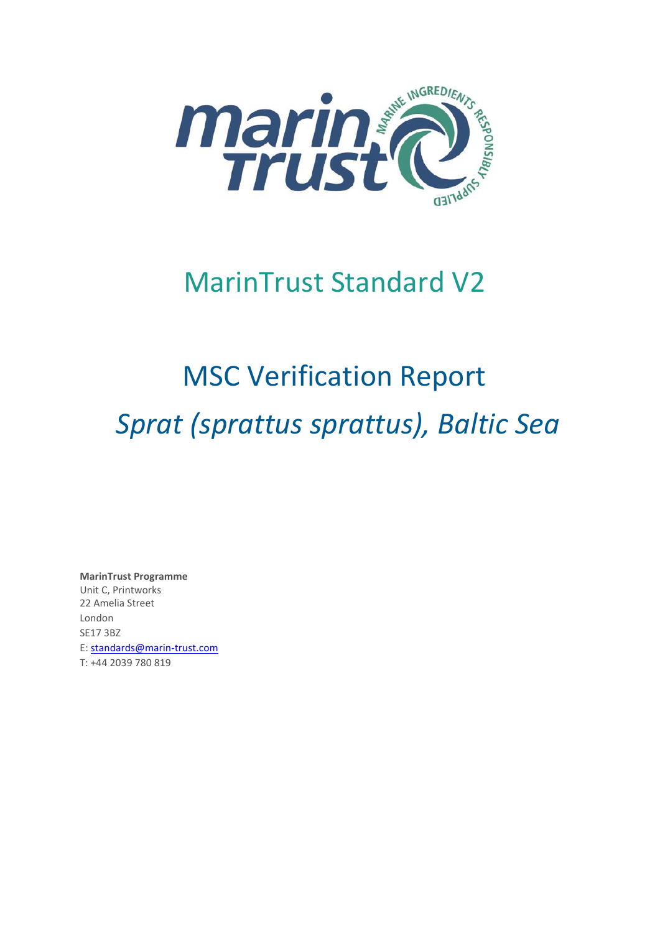

## MarinTrust Standard V2

# MSC Verification Report *Sprat (sprattus sprattus), Baltic Sea*

**MarinTrust Programme** Unit C, Printworks 22 Amelia Street London SE17 3BZ E: standards@marin-trust.com T: +44 2039 780 819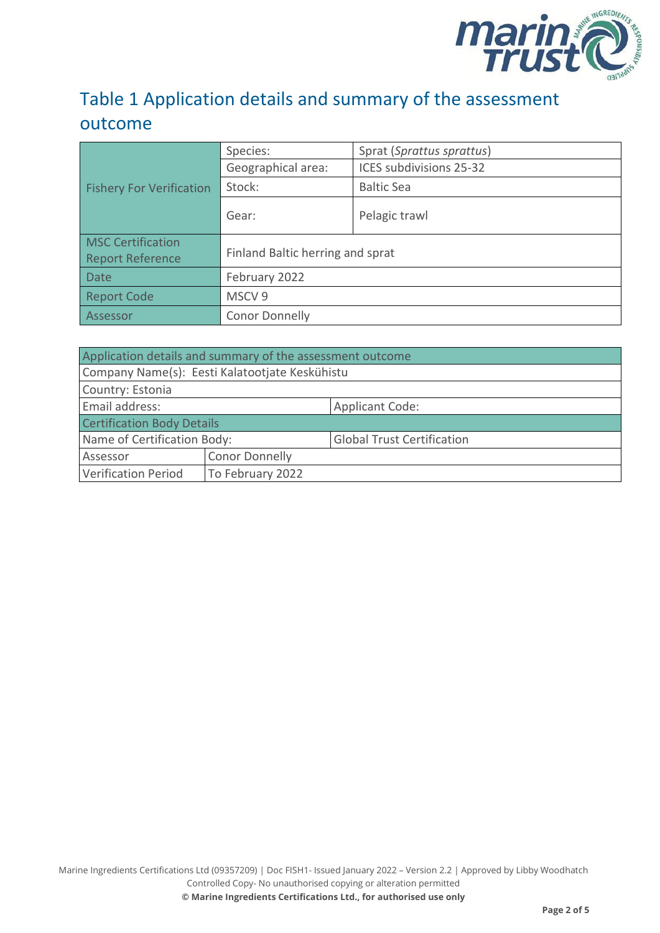

#### Table 1 Application details and summary of the assessment outcome

| <b>Fishery For Verification</b>                     | Species:                         | Sprat (Sprattus sprattus) |
|-----------------------------------------------------|----------------------------------|---------------------------|
|                                                     | Geographical area:               | ICES subdivisions 25-32   |
|                                                     | Stock:                           | <b>Baltic Sea</b>         |
|                                                     | Gear:                            | Pelagic trawl             |
| <b>MSC Certification</b><br><b>Report Reference</b> | Finland Baltic herring and sprat |                           |
| <b>Date</b>                                         | February 2022                    |                           |
| <b>Report Code</b>                                  | MSCV <sub>9</sub>                |                           |
| Assessor                                            | <b>Conor Donnelly</b>            |                           |

| Application details and summary of the assessment outcome |                       |                                   |  |
|-----------------------------------------------------------|-----------------------|-----------------------------------|--|
| Company Name(s): Eesti Kalatootjate Keskühistu            |                       |                                   |  |
| Country: Estonia                                          |                       |                                   |  |
| Email address:                                            |                       | <b>Applicant Code:</b>            |  |
| <b>Certification Body Details</b>                         |                       |                                   |  |
| Name of Certification Body:                               |                       | <b>Global Trust Certification</b> |  |
| Assessor                                                  | <b>Conor Donnelly</b> |                                   |  |
| <b>Verification Period</b>                                | To February 2022      |                                   |  |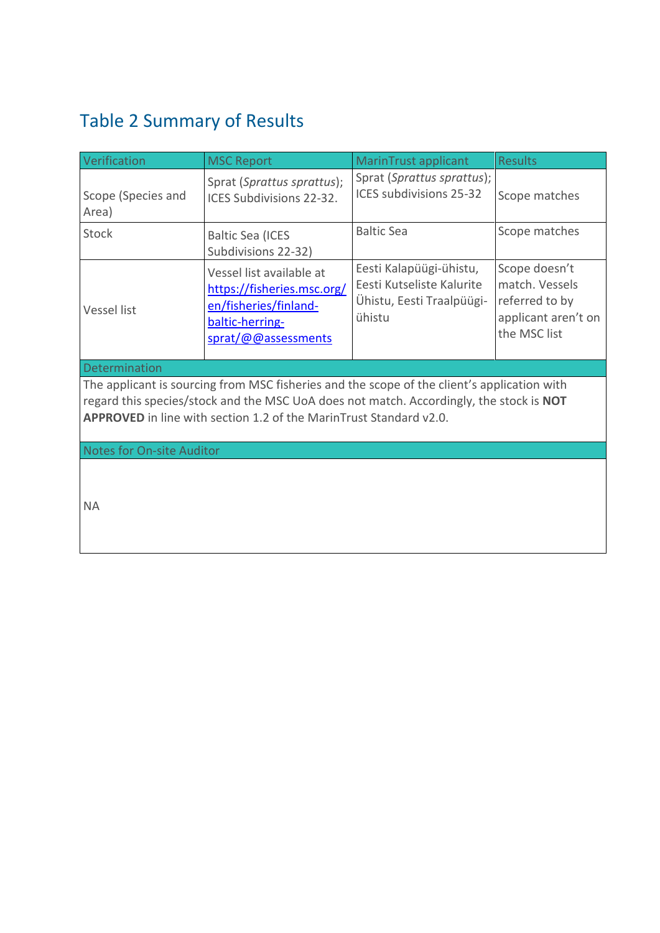### <span id="page-2-0"></span>Table 2 Summary of Results

| Verification                                                                                                                                                                                                                                                 | <b>MSC Report</b>                                                                                                         | MarinTrust applicant                                                                        | <b>Results</b>                                                                           |  |
|--------------------------------------------------------------------------------------------------------------------------------------------------------------------------------------------------------------------------------------------------------------|---------------------------------------------------------------------------------------------------------------------------|---------------------------------------------------------------------------------------------|------------------------------------------------------------------------------------------|--|
| Scope (Species and<br>Area)                                                                                                                                                                                                                                  | Sprat (Sprattus sprattus);<br>ICES Subdivisions 22-32.                                                                    | Sprat (Sprattus sprattus);<br>ICES subdivisions 25-32                                       | Scope matches                                                                            |  |
| Stock                                                                                                                                                                                                                                                        | <b>Baltic Sea (ICES</b><br>Subdivisions 22-32)                                                                            | <b>Baltic Sea</b>                                                                           | Scope matches                                                                            |  |
| <b>Vessel list</b>                                                                                                                                                                                                                                           | Vessel list available at<br>https://fisheries.msc.org/<br>en/fisheries/finland-<br>baltic-herring-<br>sprat/@@assessments | Eesti Kalapüügi-ühistu,<br>Eesti Kutseliste Kalurite<br>Ühistu, Eesti Traalpüügi-<br>ühistu | Scope doesn't<br>match. Vessels<br>referred to by<br>applicant aren't on<br>the MSC list |  |
| Determination                                                                                                                                                                                                                                                |                                                                                                                           |                                                                                             |                                                                                          |  |
| The applicant is sourcing from MSC fisheries and the scope of the client's application with<br>regard this species/stock and the MSC UoA does not match. Accordingly, the stock is NOT<br>APPROVED in line with section 1.2 of the MarinTrust Standard v2.0. |                                                                                                                           |                                                                                             |                                                                                          |  |
| <b>Notes for On-site Auditor</b>                                                                                                                                                                                                                             |                                                                                                                           |                                                                                             |                                                                                          |  |
| <b>NA</b>                                                                                                                                                                                                                                                    |                                                                                                                           |                                                                                             |                                                                                          |  |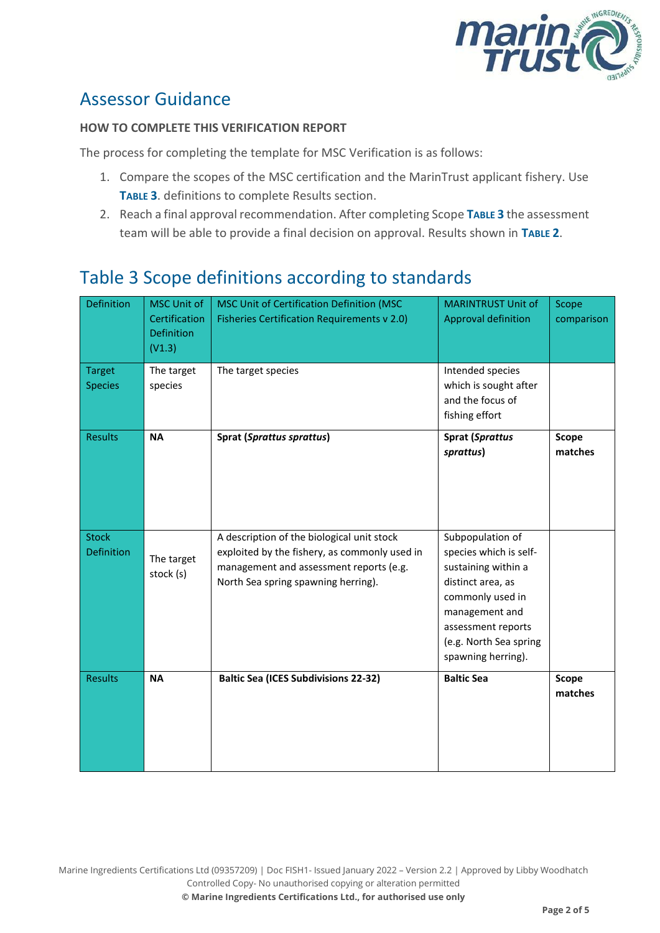

#### Assessor Guidance

#### **HOW TO COMPLETE THIS VERIFICATION REPORT**

The process for completing the template for MSC Verification is as follows:

- 1. Compare the scopes of the MSC certification and the MarinTrust applicant fishery. Use **T[ABLE](#page-3-0) 3**. definitions to complete Results section.
- 2. Reach a final approval recommendation. After completing Scope **T[ABLE](#page-3-0) 3** the assessment team will be able to provide a final decision on approval. Results shown in **T[ABLE](#page-2-0) 2**.

#### <span id="page-3-0"></span>Table 3 Scope definitions according to standards

| <b>Definition</b>                 | <b>MSC Unit of</b><br>Certification<br><b>Definition</b><br>(V1.3) | MSC Unit of Certification Definition (MSC<br>Fisheries Certification Requirements v 2.0)                                                                                      | <b>MARINTRUST Unit of</b><br>Approval definition                                                                                                                                                   | Scope<br>comparison |
|-----------------------------------|--------------------------------------------------------------------|-------------------------------------------------------------------------------------------------------------------------------------------------------------------------------|----------------------------------------------------------------------------------------------------------------------------------------------------------------------------------------------------|---------------------|
| <b>Target</b><br><b>Species</b>   | The target<br>species                                              | The target species                                                                                                                                                            | Intended species<br>which is sought after<br>and the focus of<br>fishing effort                                                                                                                    |                     |
| <b>Results</b>                    | <b>NA</b>                                                          | Sprat (Sprattus sprattus)                                                                                                                                                     | <b>Sprat (Sprattus</b><br>sprattus)                                                                                                                                                                | Scope<br>matches    |
| <b>Stock</b><br><b>Definition</b> | The target<br>stock (s)                                            | A description of the biological unit stock<br>exploited by the fishery, as commonly used in<br>management and assessment reports (e.g.<br>North Sea spring spawning herring). | Subpopulation of<br>species which is self-<br>sustaining within a<br>distinct area, as<br>commonly used in<br>management and<br>assessment reports<br>(e.g. North Sea spring<br>spawning herring). |                     |
| <b>Results</b>                    | <b>NA</b>                                                          | <b>Baltic Sea (ICES Subdivisions 22-32)</b>                                                                                                                                   | <b>Baltic Sea</b>                                                                                                                                                                                  | Scope<br>matches    |

Marine Ingredients Certifications Ltd (09357209) | Doc FISH1- Issued January 2022 – Version 2.2 | Approved by Libby Woodhatch Controlled Copy- No unauthorised copying or alteration permitted **© Marine Ingredients Certifications Ltd., for authorised use only**